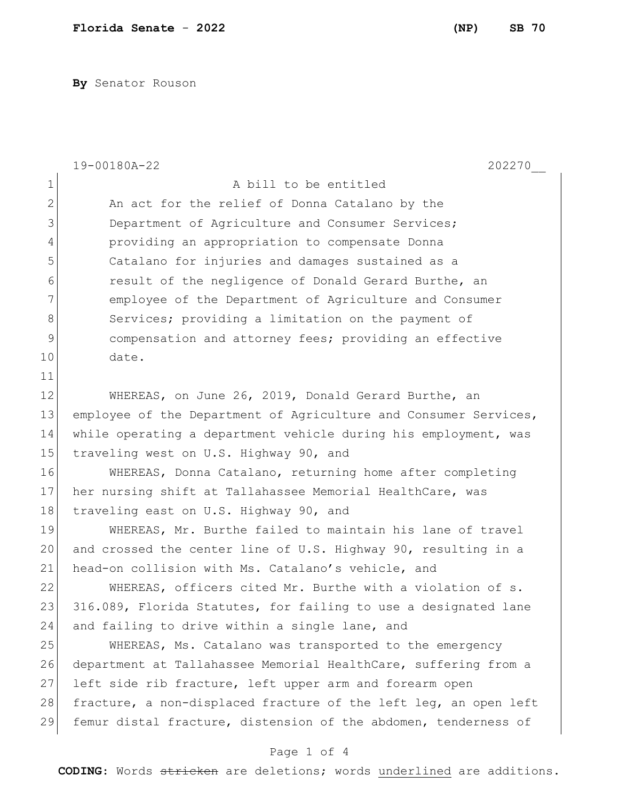**By** Senator Rouson

|                | 19-00180A-22<br>202270                                                       |  |
|----------------|------------------------------------------------------------------------------|--|
| $\mathbf 1$    | A bill to be entitled                                                        |  |
| $\overline{2}$ | An act for the relief of Donna Catalano by the                               |  |
| 3              | Department of Agriculture and Consumer Services;                             |  |
| 4              | providing an appropriation to compensate Donna                               |  |
| 5              | Catalano for injuries and damages sustained as a                             |  |
| 6              | result of the negligence of Donald Gerard Burthe, an                         |  |
| 7              | employee of the Department of Agriculture and Consumer                       |  |
| 8              | Services; providing a limitation on the payment of                           |  |
| 9              | compensation and attorney fees; providing an effective                       |  |
| 10             | date.                                                                        |  |
| 11             |                                                                              |  |
| 12             | WHEREAS, on June 26, 2019, Donald Gerard Burthe, an                          |  |
| 13             | employee of the Department of Agriculture and Consumer Services,             |  |
| 14             | while operating a department vehicle during his employment, was              |  |
| 15             | traveling west on U.S. Highway 90, and                                       |  |
| 16             | WHEREAS, Donna Catalano, returning home after completing                     |  |
| 17             | her nursing shift at Tallahassee Memorial HealthCare, was                    |  |
| 18             | traveling east on U.S. Highway 90, and                                       |  |
| 19             | WHEREAS, Mr. Burthe failed to maintain his lane of travel                    |  |
| 20             | and crossed the center line of U.S. Highway 90, resulting in a               |  |
| 21             | head-on collision with Ms. Catalano's vehicle, and                           |  |
| 22             | WHEREAS, officers cited Mr. Burthe with a violation of s.                    |  |
| 23             | 316.089, Florida Statutes, for failing to use a designated lane              |  |
| 24             | and failing to drive within a single lane, and                               |  |
| 25             | WHEREAS, Ms. Catalano was transported to the emergency                       |  |
| 26             | department at Tallahassee Memorial HealthCare, suffering from a              |  |
| 27             | left side rib fracture, left upper arm and forearm open                      |  |
| 28             | fracture, a non-displaced fracture of the left leg, an open left             |  |
| 29             | femur distal fracture, distension of the abdomen, tenderness of              |  |
| Page 1 of 4    |                                                                              |  |
|                | <b>CODING:</b> Words stricken are deletions; words underlined are additions. |  |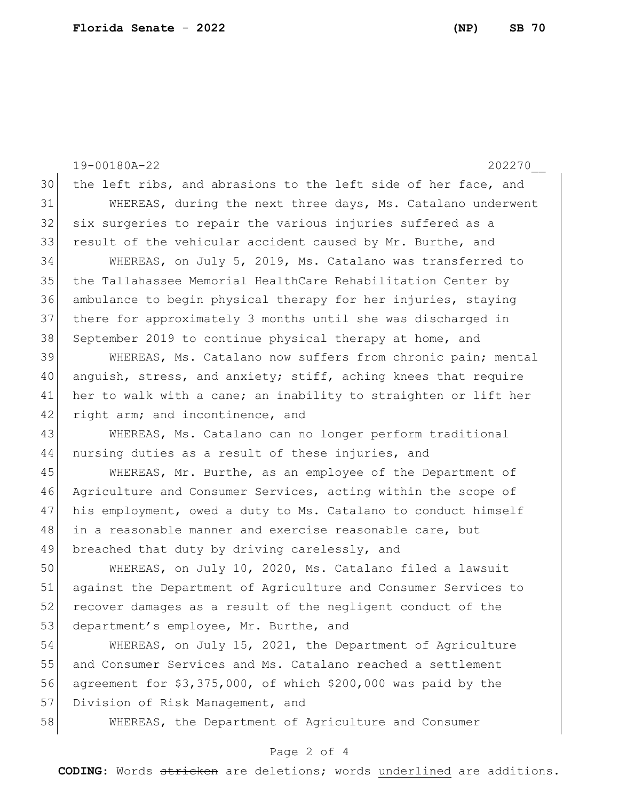19-00180A-22 202270\_\_ 30 the left ribs, and abrasions to the left side of her face, and 31 WHEREAS, during the next three days, Ms. Catalano underwent 32 six surgeries to repair the various injuries suffered as a 33 result of the vehicular accident caused by Mr. Burthe, and 34 WHEREAS, on July 5, 2019, Ms. Catalano was transferred to 35 the Tallahassee Memorial HealthCare Rehabilitation Center by 36 ambulance to begin physical therapy for her injuries, staying 37 there for approximately 3 months until she was discharged in 38 September 2019 to continue physical therapy at home, and 39 WHEREAS, Ms. Catalano now suffers from chronic pain; mental 40 anguish, stress, and anxiety; stiff, aching knees that require 41 her to walk with a cane; an inability to straighten or lift her 42 right arm; and incontinence, and 43 WHEREAS, Ms. Catalano can no longer perform traditional 44 nursing duties as a result of these injuries, and 45 | WHEREAS, Mr. Burthe, as an employee of the Department of 46 Agriculture and Consumer Services, acting within the scope of 47 his employment, owed a duty to Ms. Catalano to conduct himself 48 in a reasonable manner and exercise reasonable care, but 49 breached that duty by driving carelessly, and 50 WHEREAS, on July 10, 2020, Ms. Catalano filed a lawsuit 51 against the Department of Agriculture and Consumer Services to 52 recover damages as a result of the negligent conduct of the 53 department's employee, Mr. Burthe, and 54 WHEREAS, on July 15, 2021, the Department of Agriculture 55 and Consumer Services and Ms. Catalano reached a settlement 56 agreement for \$3,375,000, of which \$200,000 was paid by the 57 Division of Risk Management, and 58 WHEREAS, the Department of Agriculture and Consumer

## Page 2 of 4

**CODING**: Words stricken are deletions; words underlined are additions.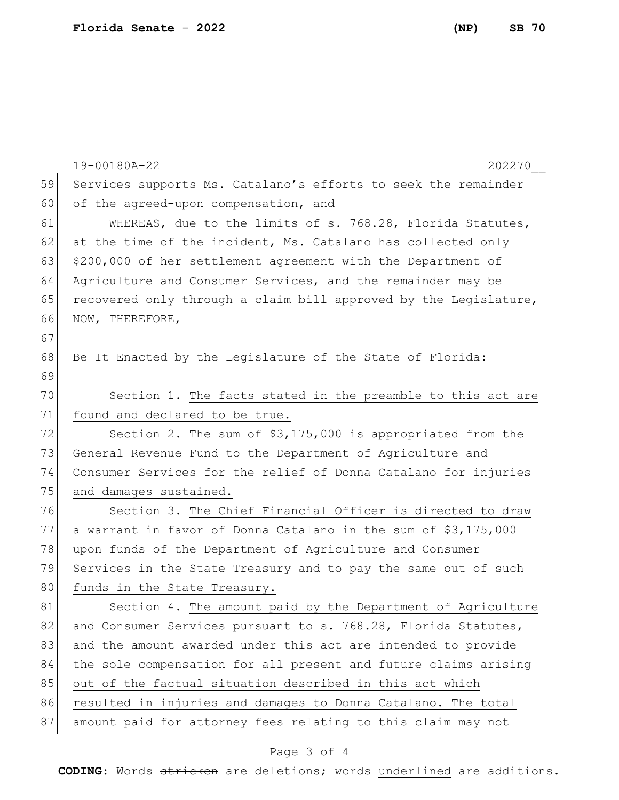|    | 19-00180A-22<br>202270                                           |
|----|------------------------------------------------------------------|
| 59 | Services supports Ms. Catalano's efforts to seek the remainder   |
| 60 | of the agreed-upon compensation, and                             |
| 61 | WHEREAS, due to the limits of s. 768.28, Florida Statutes,       |
| 62 | at the time of the incident, Ms. Catalano has collected only     |
| 63 | \$200,000 of her settlement agreement with the Department of     |
| 64 | Agriculture and Consumer Services, and the remainder may be      |
| 65 | recovered only through a claim bill approved by the Legislature, |
| 66 | NOW, THEREFORE,                                                  |
| 67 |                                                                  |
| 68 | Be It Enacted by the Legislature of the State of Florida:        |
| 69 |                                                                  |
| 70 | Section 1. The facts stated in the preamble to this act are      |
| 71 | found and declared to be true.                                   |
| 72 | Section 2. The sum of \$3,175,000 is appropriated from the       |
| 73 | General Revenue Fund to the Department of Agriculture and        |
| 74 | Consumer Services for the relief of Donna Catalano for injuries  |
| 75 | and damages sustained.                                           |
| 76 | Section 3. The Chief Financial Officer is directed to draw       |
| 77 | a warrant in favor of Donna Catalano in the sum of \$3,175,000   |
| 78 | upon funds of the Department of Agriculture and Consumer         |
| 79 | Services in the State Treasury and to pay the same out of such   |
| 80 | funds in the State Treasury.                                     |
| 81 | Section 4. The amount paid by the Department of Agriculture      |
| 82 | and Consumer Services pursuant to s. 768.28, Florida Statutes,   |
| 83 | and the amount awarded under this act are intended to provide    |
| 84 | the sole compensation for all present and future claims arising  |
| 85 | out of the factual situation described in this act which         |
| 86 | resulted in injuries and damages to Donna Catalano. The total    |
| 87 | amount paid for attorney fees relating to this claim may not     |

## Page 3 of 4

**CODING**: Words stricken are deletions; words underlined are additions.